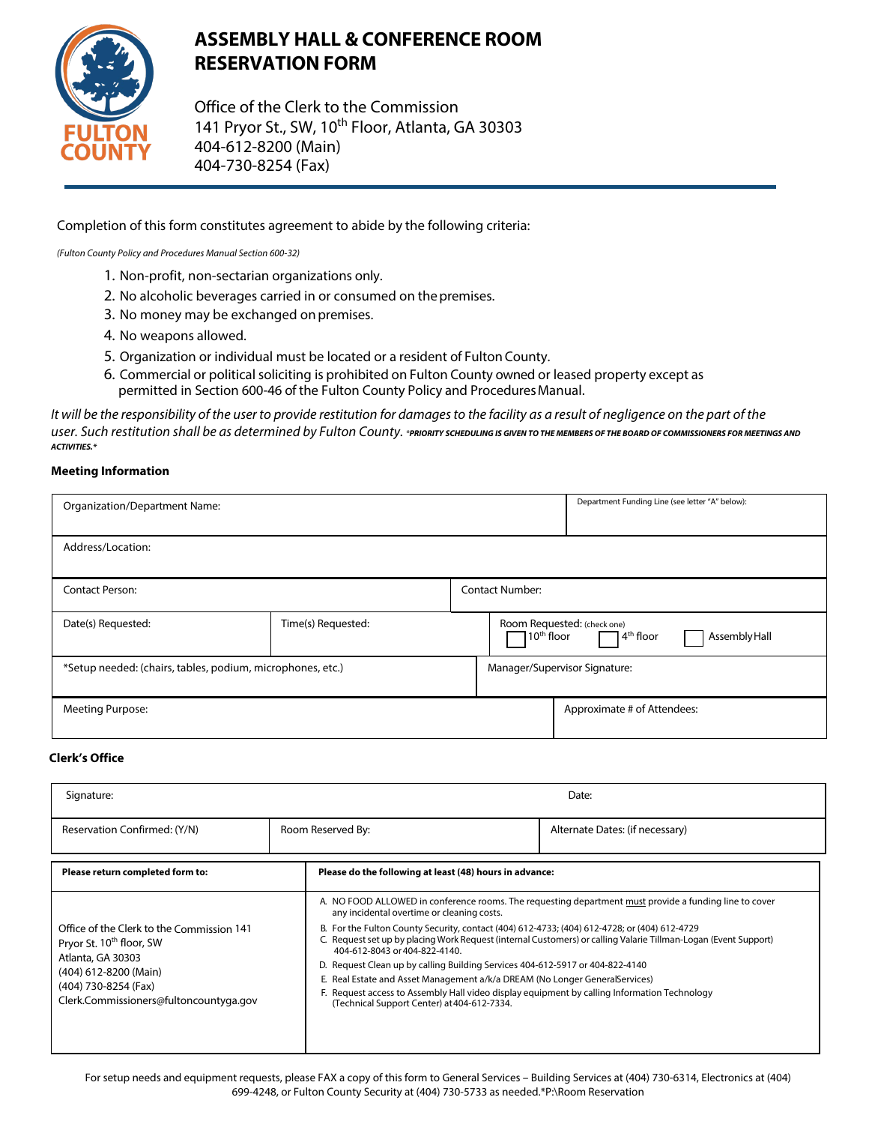

# **ASSEMBLY HALL & CONFERENCE ROOM RESERVATION FORM**

Office of the Clerk to the Commission 141 Pryor St., SW, 10<sup>th</sup> Floor, Atlanta, GA 30303 404-612-8200 (Main) 404-730-8254 (Fax)

Completion of this form constitutes agreement to abide by the following criteria:

(Fulton County Policy and Procedures Manual Section 600-32)

- 1. Non-profit, non-sectarian organizations only.
- 2. No alcoholic beverages carried in or consumed on thepremises.
- 3. No money may be exchanged on premises.
- 4. No weapons allowed.
- 5. Organization or individual must be located or a resident of Fulton County.
- 6. Commercial or political soliciting is prohibited on Fulton County owned or leased property except as permitted in Section 600-46 of the Fulton County Policy and Procedures Manual.

It will be the responsibility of the user to provide restitution for damages to the facility as a result of negligence on the part of the user. Such restitution shall be as determined by Fulton County. \*PRIORITY SCHEDULING IS GIVEN TO THE MEMBERS OF THE BOARD OF COMMISSIONERS FOR MEETINGS AND **ACTIVITIES.\*** 

#### **Meeting Information**

| Organization/Department Name:                              |                    |                        |                                                                                                      | Department Funding Line (see letter "A" below): |  |
|------------------------------------------------------------|--------------------|------------------------|------------------------------------------------------------------------------------------------------|-------------------------------------------------|--|
| Address/Location:                                          |                    |                        |                                                                                                      |                                                 |  |
| <b>Contact Person:</b>                                     |                    | <b>Contact Number:</b> |                                                                                                      |                                                 |  |
| Date(s) Requested:                                         | Time(s) Requested: |                        | Room Requested: (check one)<br>$7$ 10 <sup>th</sup> floor<br>$14^{\text{th}}$ floor<br>Assembly Hall |                                                 |  |
| *Setup needed: (chairs, tables, podium, microphones, etc.) |                    |                        | Manager/Supervisor Signature:                                                                        |                                                 |  |
| Meeting Purpose:                                           |                    |                        |                                                                                                      | Approximate # of Attendees:                     |  |

#### **Clerk's Office**

| Signature:                                                                                                                                                                                        |                                                                                                                                                                                                                                                                                            | Date:                                                                                                                                                                                                                                                                                                                                                                                                                     |  |  |
|---------------------------------------------------------------------------------------------------------------------------------------------------------------------------------------------------|--------------------------------------------------------------------------------------------------------------------------------------------------------------------------------------------------------------------------------------------------------------------------------------------|---------------------------------------------------------------------------------------------------------------------------------------------------------------------------------------------------------------------------------------------------------------------------------------------------------------------------------------------------------------------------------------------------------------------------|--|--|
| Reservation Confirmed: (Y/N)                                                                                                                                                                      | Room Reserved By:                                                                                                                                                                                                                                                                          | Alternate Dates: (if necessary)                                                                                                                                                                                                                                                                                                                                                                                           |  |  |
| Please return completed form to:                                                                                                                                                                  | Please do the following at least (48) hours in advance:                                                                                                                                                                                                                                    |                                                                                                                                                                                                                                                                                                                                                                                                                           |  |  |
| Office of the Clerk to the Commission 141<br>Pryor St. 10 <sup>th</sup> floor, SW<br>Atlanta, GA 30303<br>(404) 612-8200 (Main)<br>(404) 730-8254 (Fax)<br>Clerk.Commissioners@fultoncountyga.gov | any incidental overtime or cleaning costs.<br>404-612-8043 or 404-822-4140.<br>D. Request Clean up by calling Building Services 404-612-5917 or 404-822-4140<br>E. Real Estate and Asset Management a/k/a DREAM (No Longer GeneralServices)<br>(Technical Support Center) at 404-612-7334. | A. NO FOOD ALLOWED in conference rooms. The requesting department must provide a funding line to cover<br>B. For the Fulton County Security, contact (404) 612-4733; (404) 612-4728; or (404) 612-4729<br>C. Request set up by placing Work Request (internal Customers) or calling Valarie Tillman-Logan (Event Support)<br>F. Request access to Assembly Hall video display equipment by calling Information Technology |  |  |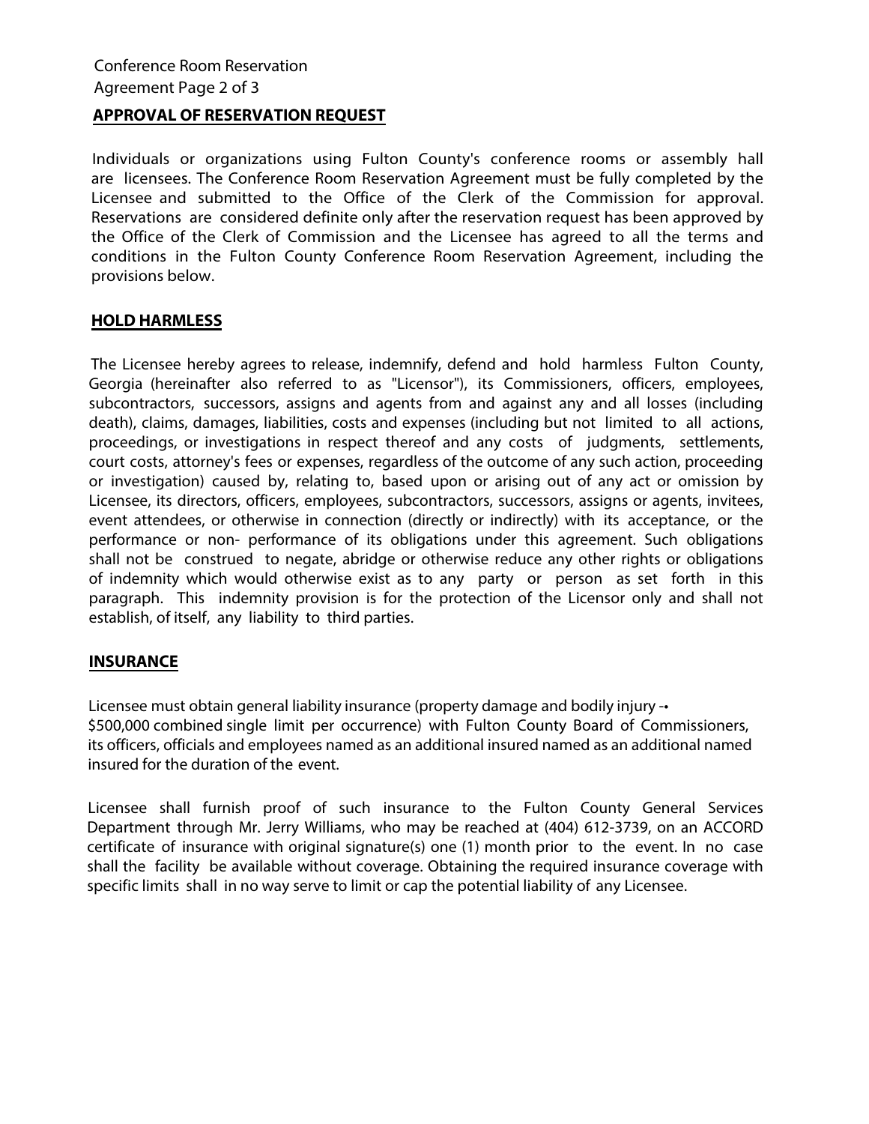### **APPROVAL OF RESERVATION REQUEST**

Individuals or organizations using Fulton County's conference rooms or assembly hall are licensees. The Conference Room Reservation Agreement must be fully completed by the Licensee and submitted to the Office of the Clerk of the Commission for approval. Reservations are considered definite only after the reservation request has been approved by the Office of the Clerk of Commission and the Licensee has agreed to all the terms and conditions in the Fulton County Conference Room Reservation Agreement, including the provisions below.

### **HOLD HARMLESS**

The Licensee hereby agrees to release, indemnify, defend and hold harmless Fulton County, Georgia (hereinafter also referred to as "Licensor"), its Commissioners, officers, employees, subcontractors, successors, assigns and agents from and against any and all losses (including death), claims, damages, liabilities, costs and expenses (including but not limited to all actions, proceedings, or investigations in respect thereof and any costs of judgments, settlements, court costs, attorney's fees or expenses, regardless of the outcome of any such action, proceeding or investigation) caused by, relating to, based upon or arising out of any act or omission by Licensee, its directors, officers, employees, subcontractors, successors, assigns or agents, invitees, event attendees, or otherwise in connection (directly or indirectly) with its acceptance, or the performance or non- performance of its obligations under this agreement. Such obligations shall not be construed to negate, abridge or otherwise reduce any other rights or obligations of indemnity which would otherwise exist as to any party or person as set forth in this paragraph. This indemnity provision is for the protection of the Licensor only and shall not establish, of itself, any liability to third parties.

# **INSURANCE**

Licensee must obtain general liability insurance (property damage and bodily injury -• \$500,000 combined single limit per occurrence) with Fulton County Board of Commissioners, its officers, officials and employees named as an additional insured named as an additional named insured for the duration of the event.

Licensee shall furnish proof of such insurance to the Fulton County General Services Department through Mr. Jerry Williams, who may be reached at (404) 612-3739, on an ACCORD certificate of insurance with original signature(s) one (1) month prior to the event. In no case shall the facility be available without coverage. Obtaining the required insurance coverage with specific limits shall in no way serve to limit or cap the potential liability of any Licensee.